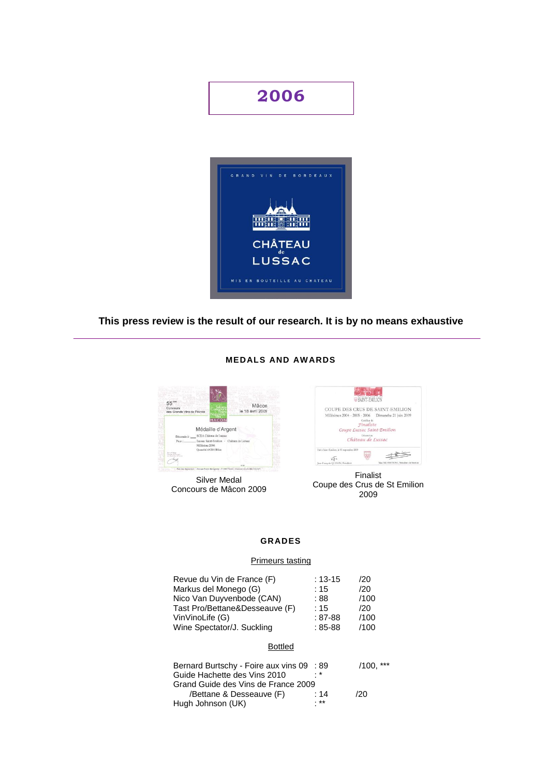# **2006**



# **This press review is the result of our research. It is by no means exhaustive**

# **MEDALS AND AWARDS**



Coupe des Crus de St Emilion 2009

## **GRADES**

## Primeurs tasting

| Revue du Vin de France (F)<br>Markus del Monego (G)<br>Nico Van Duyvenbode (CAN)<br>Tast Pro/Bettane&Desseauve (F)<br>VinVinoLife (G)<br>Wine Spectator/J. Suckling | : 13-15<br>: 15<br>: 88<br>: 15<br>$:87-88$<br>$:85-88$ | /20<br>120<br>/100<br>/20<br>/100<br>/100 |
|---------------------------------------------------------------------------------------------------------------------------------------------------------------------|---------------------------------------------------------|-------------------------------------------|
| <b>Bottled</b>                                                                                                                                                      |                                                         |                                           |
| Bernard Burtschy - Foire aux vins 09<br>Guide Hachette des Vins 2010<br>Grand Guide des Vins de France 2009                                                         | :89<br>. *                                              | /100                                      |
| /Bettane & Desseauve (F)<br>Hugh Johnson (UK)                                                                                                                       | : 14                                                    | /20                                       |

Concours de Mâcon 2009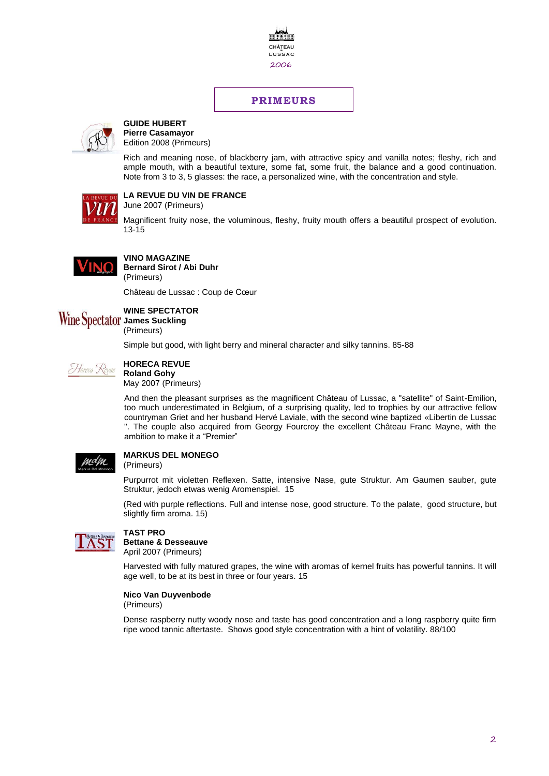

# **PRIMEURS**



#### **GUIDE HUBERT Pierre Casamayor** Edition 2008 (Primeurs)

Rich and meaning nose, of blackberry jam, with attractive spicy and vanilla notes; fleshy, rich and ample mouth, with a beautiful texture, some fat, some fruit, the balance and a good continuation. Note from 3 to 3, 5 glasses: the race, a personalized wine, with the concentration and style.

# **LA REVUE DU VIN DE FRANCE**

June 2007 (Primeurs)

Magnificent fruity nose, the voluminous, fleshy, fruity mouth offers a beautiful prospect of evolution. 13-15



**VINO MAGAZINE Bernard Sirot / Abi Duhr** (Primeurs)

Château de Lussac : Coup de Cœur

# **WINE SPECTATOR**

**Wine Spectator James Suckling** (Primeurs)

Simple but good, with light berry and mineral character and silky tannins. 85-88



#### **HORECA REVUE Roland Gohy**

May 2007 (Primeurs)

And then the pleasant surprises as the magnificent Château of Lussac, a "satellite" of Saint-Emilion, too much underestimated in Belgium, of a surprising quality, led to trophies by our attractive fellow countryman Griet and her husband Hervé Laviale, with the second wine baptized «Libertin de Lussac ". The couple also acquired from Georgy Fourcroy the excellent Château Franc Mayne, with the ambition to make it a "Premier"



# **MARKUS DEL MONEGO**

(Primeurs)

Purpurrot mit violetten Reflexen. Satte, intensive Nase, gute Struktur. Am Gaumen sauber, gute Struktur, jedoch etwas wenig Aromenspiel. 15

(Red with purple reflections. Full and intense nose, good structure. To the palate, good structure, but slightly firm aroma. 15)



## **TAST PRO**

**Bettane & Desseauve** April 2007 (Primeurs)

Harvested with fully matured grapes, the wine with aromas of kernel fruits has powerful tannins. It will age well, to be at its best in three or four years. 15

## **Nico Van Duyvenbode**

(Primeurs)

Dense raspberry nutty woody nose and taste has good concentration and a long raspberry quite firm ripe wood tannic aftertaste. Shows good style concentration with a hint of volatility. 88/100